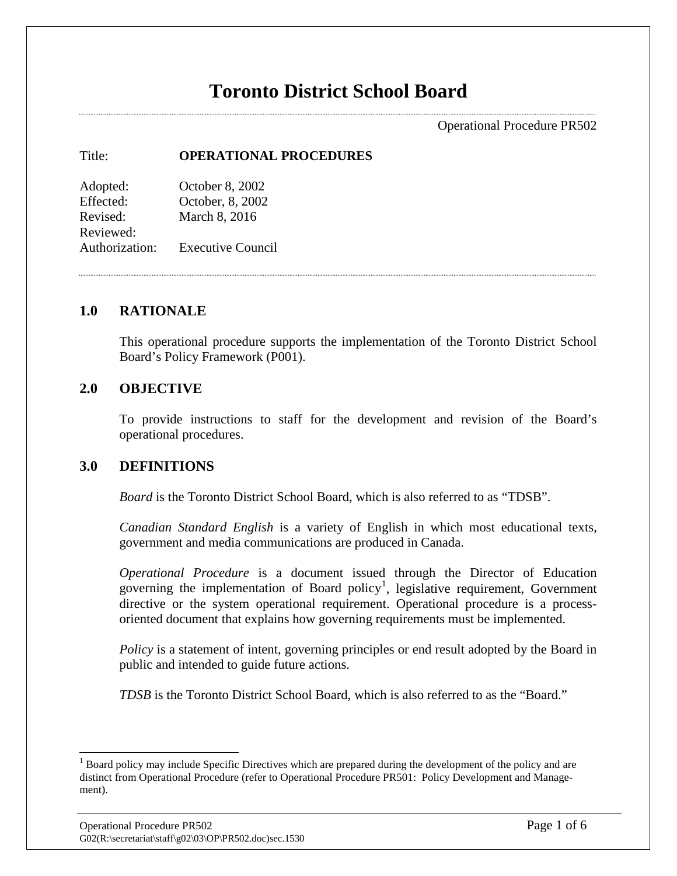# **Toronto District School Board**

Operational Procedure PR502

#### Title: **OPERATIONAL PROCEDURES**

Adopted: October 8, 2002 Effected: October, 8, 2002 Revised: March 8, 2016 Reviewed: Authorization: Executive Council

#### **1.0 RATIONALE**

This operational procedure supports the implementation of the Toronto District School Board's Policy Framework (P001).

#### **2.0 OBJECTIVE**

To provide instructions to staff for the development and revision of the Board's operational procedures.

#### **3.0 DEFINITIONS**

*Board* is the Toronto District School Board, which is also referred to as "TDSB".

*Canadian Standard English* is a variety of English in which most educational texts, government and media communications are produced in Canada.

*Operational Procedure* is a document issued through the Director of Education governing the implementation of Board policy<sup>[1](#page-0-0)</sup>, legislative requirement, Government directive or the system operational requirement. Operational procedure is a processoriented document that explains how governing requirements must be implemented.

*Policy* is a statement of intent, governing principles or end result adopted by the Board in public and intended to guide future actions.

*TDSB* is the Toronto District School Board, which is also referred to as the "Board."

<span id="page-0-0"></span><sup>&</sup>lt;sup>1</sup> Board policy may include Specific Directives which are prepared during the development of the policy and are distinct from Operational Procedure (refer to Operational Procedure PR501: Policy Development and Management).  $\overline{a}$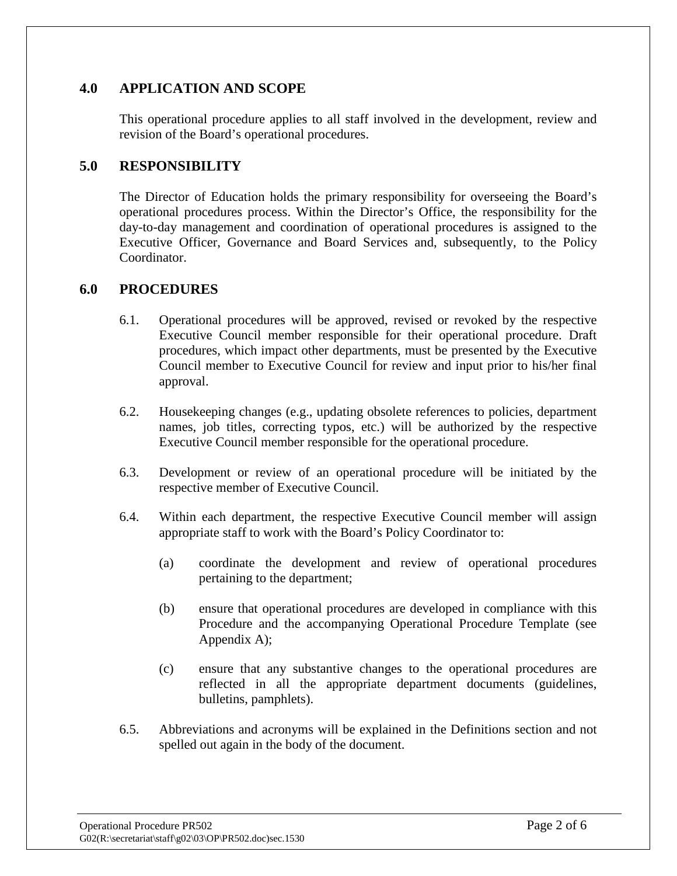# **4.0 APPLICATION AND SCOPE**

This operational procedure applies to all staff involved in the development, review and revision of the Board's operational procedures.

## **5.0 RESPONSIBILITY**

The Director of Education holds the primary responsibility for overseeing the Board's operational procedures process. Within the Director's Office, the responsibility for the day-to-day management and coordination of operational procedures is assigned to the Executive Officer, Governance and Board Services and, subsequently, to the Policy Coordinator.

#### **6.0 PROCEDURES**

- 6.1. Operational procedures will be approved, revised or revoked by the respective Executive Council member responsible for their operational procedure. Draft procedures, which impact other departments, must be presented by the Executive Council member to Executive Council for review and input prior to his/her final approval.
- 6.2. Housekeeping changes (e.g., updating obsolete references to policies, department names, job titles, correcting typos, etc.) will be authorized by the respective Executive Council member responsible for the operational procedure.
- 6.3. Development or review of an operational procedure will be initiated by the respective member of Executive Council.
- 6.4. Within each department, the respective Executive Council member will assign appropriate staff to work with the Board's Policy Coordinator to:
	- (a) coordinate the development and review of operational procedures pertaining to the department;
	- (b) ensure that operational procedures are developed in compliance with this Procedure and the accompanying Operational Procedure Template (see Appendix A);
	- (c) ensure that any substantive changes to the operational procedures are reflected in all the appropriate department documents (guidelines, bulletins, pamphlets).
- 6.5. Abbreviations and acronyms will be explained in the Definitions section and not spelled out again in the body of the document.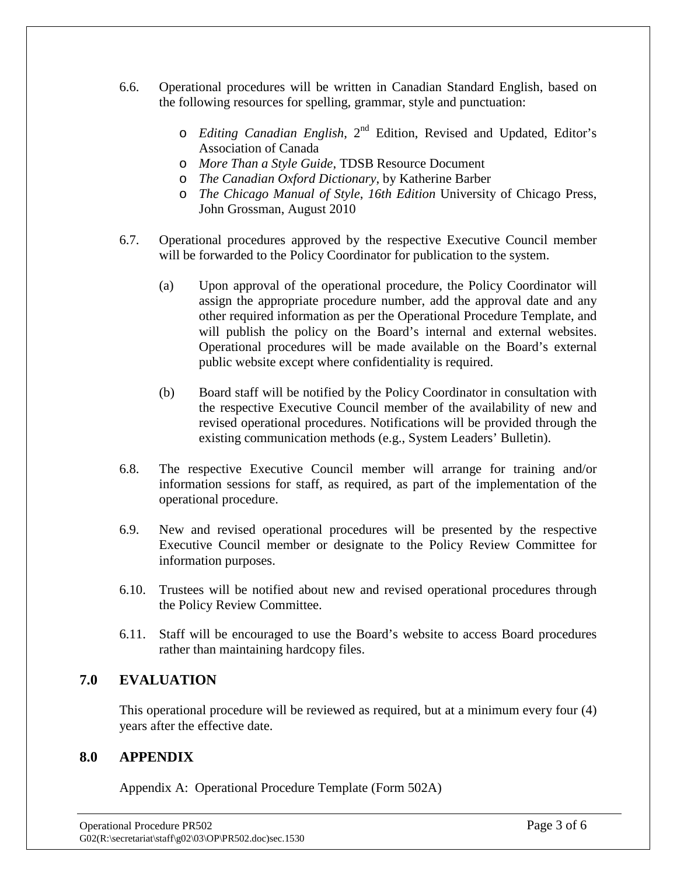- 6.6. Operational procedures will be written in Canadian Standard English, based on the following resources for spelling, grammar, style and punctuation:
	- o *Editing Canadian English*, 2nd Edition, Revised and Updated, Editor's Association of Canada
	- o *More Than a Style Guide*, TDSB Resource Document
	- o *The Canadian Oxford Dictionary*, by Katherine Barber
	- o *The Chicago Manual of Style*, *16th Edition* University of Chicago Press, John Grossman, August 2010
- 6.7. Operational procedures approved by the respective Executive Council member will be forwarded to the Policy Coordinator for publication to the system.
	- (a) Upon approval of the operational procedure, the Policy Coordinator will assign the appropriate procedure number, add the approval date and any other required information as per the Operational Procedure Template, and will publish the policy on the Board's internal and external websites. Operational procedures will be made available on the Board's external public website except where confidentiality is required.
	- (b) Board staff will be notified by the Policy Coordinator in consultation with the respective Executive Council member of the availability of new and revised operational procedures. Notifications will be provided through the existing communication methods (e.g., System Leaders' Bulletin).
- 6.8. The respective Executive Council member will arrange for training and/or information sessions for staff, as required, as part of the implementation of the operational procedure.
- 6.9. New and revised operational procedures will be presented by the respective Executive Council member or designate to the Policy Review Committee for information purposes.
- 6.10. Trustees will be notified about new and revised operational procedures through the Policy Review Committee.
- 6.11. Staff will be encouraged to use the Board's website to access Board procedures rather than maintaining hardcopy files.

## **7.0 EVALUATION**

This operational procedure will be reviewed as required, but at a minimum every four (4) years after the effective date.

## **8.0 APPENDIX**

Appendix A: Operational Procedure Template (Form 502A)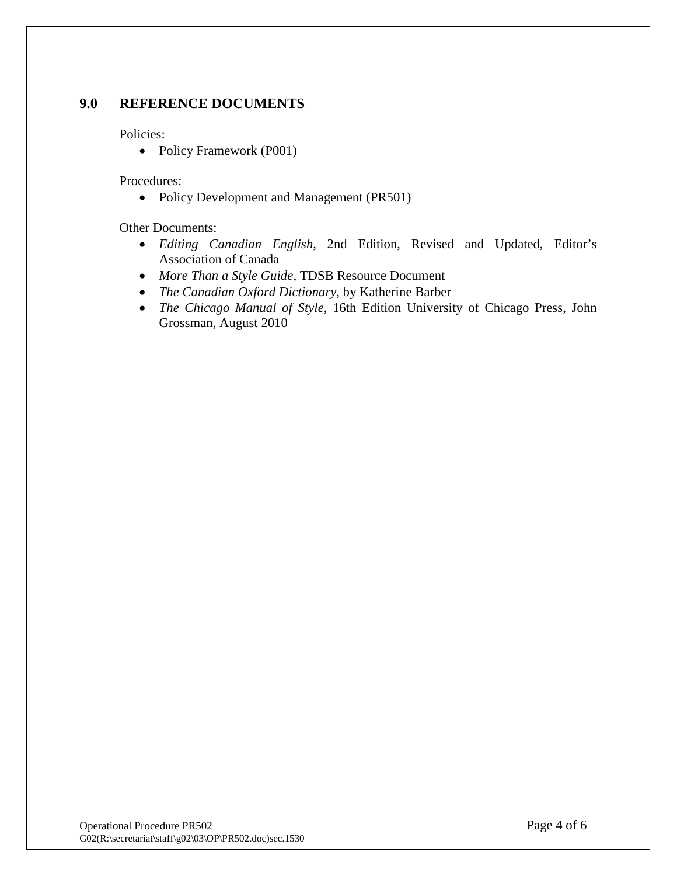#### **9.0 REFERENCE DOCUMENTS**

Policies:

• Policy Framework (P001)

Procedures:

• Policy Development and Management (PR501)

Other Documents:

- *Editing Canadian English*, 2nd Edition, Revised and Updated, Editor's Association of Canada
- *More Than a Style Guide*, TDSB Resource Document
- *The Canadian Oxford Dictionary*, by Katherine Barber
- *The Chicago Manual of Style*, 16th Edition University of Chicago Press, John Grossman, August 2010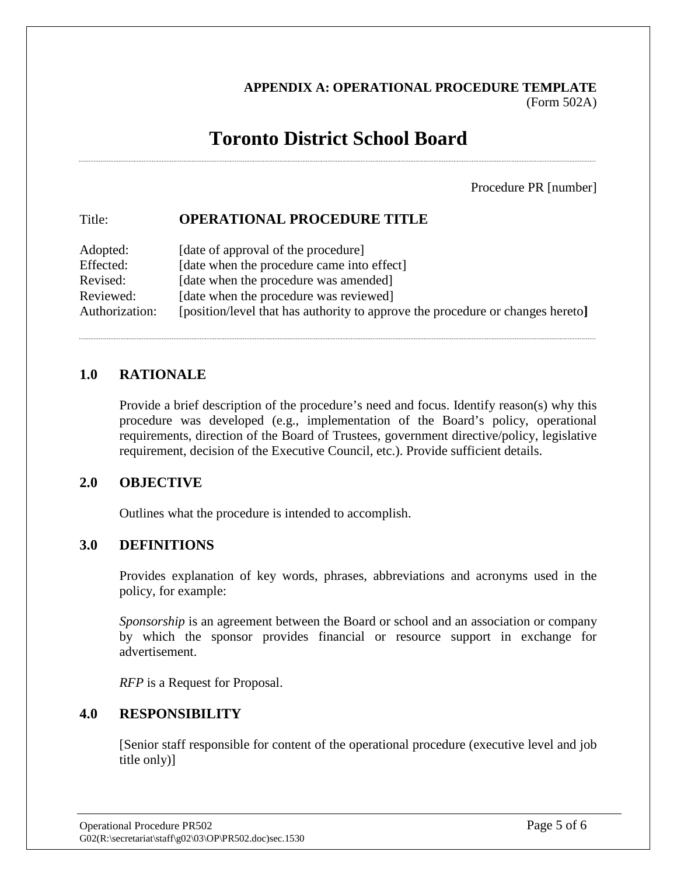# **APPENDIX A: OPERATIONAL PROCEDURE TEMPLATE** (Form 502A)

# **Toronto District School Board**

Procedure PR [number]

# Title: **OPERATIONAL PROCEDURE TITLE**

| Adopted:       | [date of approval of the procedure]                                            |
|----------------|--------------------------------------------------------------------------------|
| Effected:      | [date when the procedure came into effect]                                     |
| Revised:       | [date when the procedure was amended]                                          |
| Reviewed:      | [date when the procedure was reviewed]                                         |
| Authorization: | [position/level that has authority to approve the procedure or changes hereto] |

## **1.0 RATIONALE**

Provide a brief description of the procedure's need and focus. Identify reason(s) why this procedure was developed (e.g., implementation of the Board's policy, operational requirements, direction of the Board of Trustees, government directive/policy, legislative requirement, decision of the Executive Council, etc.). Provide sufficient details.

## **2.0 OBJECTIVE**

Outlines what the procedure is intended to accomplish.

#### **3.0 DEFINITIONS**

Provides explanation of key words, phrases, abbreviations and acronyms used in the policy, for example:

*Sponsorship* is an agreement between the Board or school and an association or company by which the sponsor provides financial or resource support in exchange for advertisement.

*RFP* is a Request for Proposal.

## **4.0 RESPONSIBILITY**

[Senior staff responsible for content of the operational procedure (executive level and job title only)]